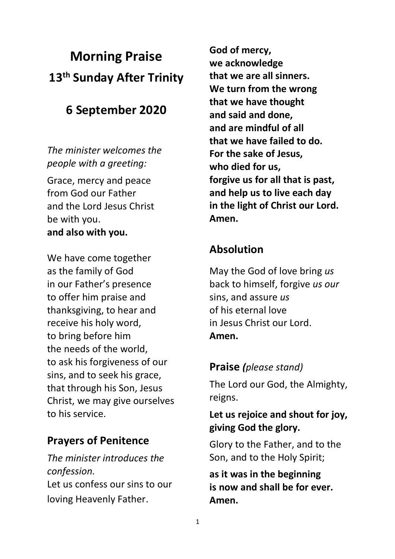# **Morning Praise 13th Sunday After Trinity**

# **6 September 2020**

*The minister welcomes the people with a greeting:*

Grace, mercy and peace from God our Father and the Lord Jesus Christ be with you. **and also with you.**

We have come together as the family of God in our Father's presence to offer him praise and thanksgiving, to hear and receive his holy word, to bring before him the needs of the world, to ask his forgiveness of our sins, and to seek his grace, that through his Son, Jesus Christ, we may give ourselves to his service.

# **Prayers of Penitence**

*The minister introduces the confession.* Let us confess our sins to our loving Heavenly Father.

**God of mercy, we acknowledge that we are all sinners. We turn from the wrong that we have thought and said and done, and are mindful of all that we have failed to do. For the sake of Jesus, who died for us, forgive us for all that is past, and help us to live each day in the light of Christ our Lord. Amen.**

# **Absolution**

May the God of love bring *us*  back to himself, forgive *us our*  sins, and assure *us*  of his eternal love in Jesus Christ our Lord. **Amen.**

# **Praise** *(please stand)*

The Lord our God, the Almighty, reigns.

## **Let us rejoice and shout for joy, giving God the glory.**

Glory to the Father, and to the Son, and to the Holy Spirit;

**as it was in the beginning is now and shall be for ever. Amen.**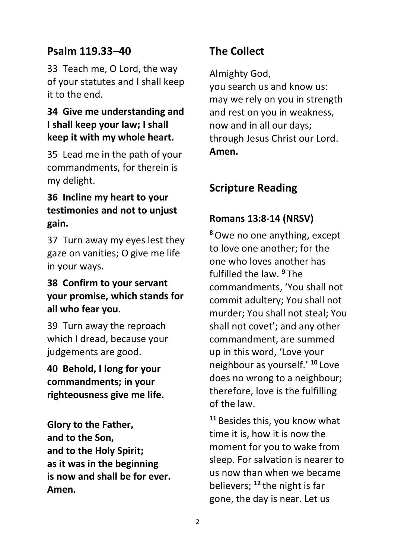## **Psalm 119.33–40**

33 Teach me, O Lord, the way of your statutes and I shall keep it to the end.

#### **34 Give me understanding and I shall keep your law; I shall keep it with my whole heart.**

35 Lead me in the path of your commandments, for therein is my delight.

#### **36 Incline my heart to your testimonies and not to unjust gain.**

37 Turn away my eyes lest they gaze on vanities; O give me life in your ways.

#### **38 Confirm to your servant your promise, which stands for all who fear you.**

39 Turn away the reproach which I dread, because your judgements are good.

**40 Behold, I long for your commandments; in your righteousness give me life.**

**Glory to the Father, and to the Son, and to the Holy Spirit; as it was in the beginning is now and shall be for ever. Amen.**

# **The Collect**

Almighty God,

you search us and know us: may we rely on you in strength and rest on you in weakness, now and in all our days; through Jesus Christ our Lord. **Amen.**

# **Scripture Reading**

#### **Romans 13:8-14 (NRSV)**

**<sup>8</sup>**Owe no one anything, except to love one another; for the one who loves another has fulfilled the law. **<sup>9</sup>** The commandments, 'You shall not commit adultery; You shall not murder; You shall not steal; You shall not covet'; and any other commandment, are summed up in this word, 'Love your neighbour as yourself.' **<sup>10</sup>** Love does no wrong to a neighbour; therefore, love is the fulfilling of the law.

**<sup>11</sup>** Besides this, you know what time it is, how it is now the moment for you to wake from sleep. For salvation is nearer to us now than when we became believers; **<sup>12</sup>** the night is far gone, the day is near. Let us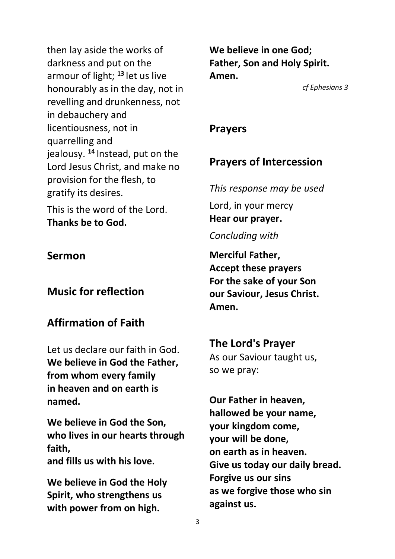then lay aside the works of darkness and put on the armour of light; **<sup>13</sup>** let us live honourably as in the day, not in revelling and drunkenness, not in debauchery and licentiousness, not in quarrelling and jealousy. **<sup>14</sup>** Instead, put on the Lord Jesus Christ, and make no provision for the flesh, to gratify its desires.

This is the word of the Lord. **Thanks be to God.**

#### **Sermon**

**Music for reflection**

# **Affirmation of Faith**

Let us declare our faith in God. **We believe in God the Father, from whom every family in heaven and on earth is named.**

**We believe in God the Son, who lives in our hearts through faith, and fills us with his love.**

**We believe in God the Holy Spirit, who strengthens us with power from on high.**

**We believe in one God; Father, Son and Holy Spirit. Amen.**

*cf Ephesians 3*

#### **Prayers**

# **Prayers of Intercession**

*This response may be used* Lord, in your mercy **Hear our prayer.** *Concluding with*

**Merciful Father, Accept these prayers For the sake of your Son our Saviour, Jesus Christ. Amen.**

**The Lord's Prayer** As our Saviour taught us, so we pray:

**Our Father in heaven, hallowed be your name, your kingdom come, your will be done, on earth as in heaven. Give us today our daily bread. Forgive us our sins as we forgive those who sin against us.**